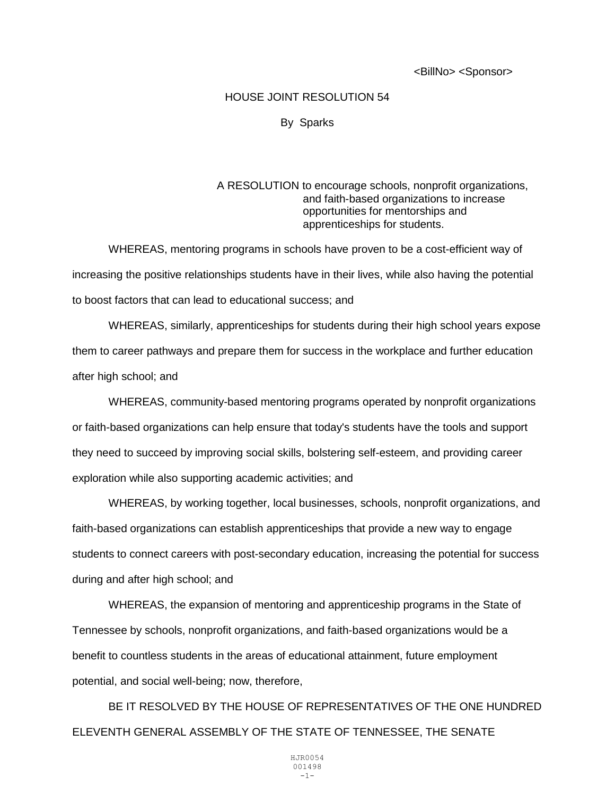<BillNo> <Sponsor>

## HOUSE JOINT RESOLUTION 54

## By Sparks

## A RESOLUTION to encourage schools, nonprofit organizations, and faith-based organizations to increase opportunities for mentorships and apprenticeships for students.

WHEREAS, mentoring programs in schools have proven to be a cost-efficient way of increasing the positive relationships students have in their lives, while also having the potential to boost factors that can lead to educational success; and

WHEREAS, similarly, apprenticeships for students during their high school years expose them to career pathways and prepare them for success in the workplace and further education after high school; and

WHEREAS, community-based mentoring programs operated by nonprofit organizations or faith-based organizations can help ensure that today's students have the tools and support they need to succeed by improving social skills, bolstering self-esteem, and providing career exploration while also supporting academic activities; and

WHEREAS, by working together, local businesses, schools, nonprofit organizations, and faith-based organizations can establish apprenticeships that provide a new way to engage students to connect careers with post-secondary education, increasing the potential for success during and after high school; and

WHEREAS, the expansion of mentoring and apprenticeship programs in the State of Tennessee by schools, nonprofit organizations, and faith-based organizations would be a benefit to countless students in the areas of educational attainment, future employment potential, and social well-being; now, therefore,

BE IT RESOLVED BY THE HOUSE OF REPRESENTATIVES OF THE ONE HUNDRED ELEVENTH GENERAL ASSEMBLY OF THE STATE OF TENNESSEE, THE SENATE